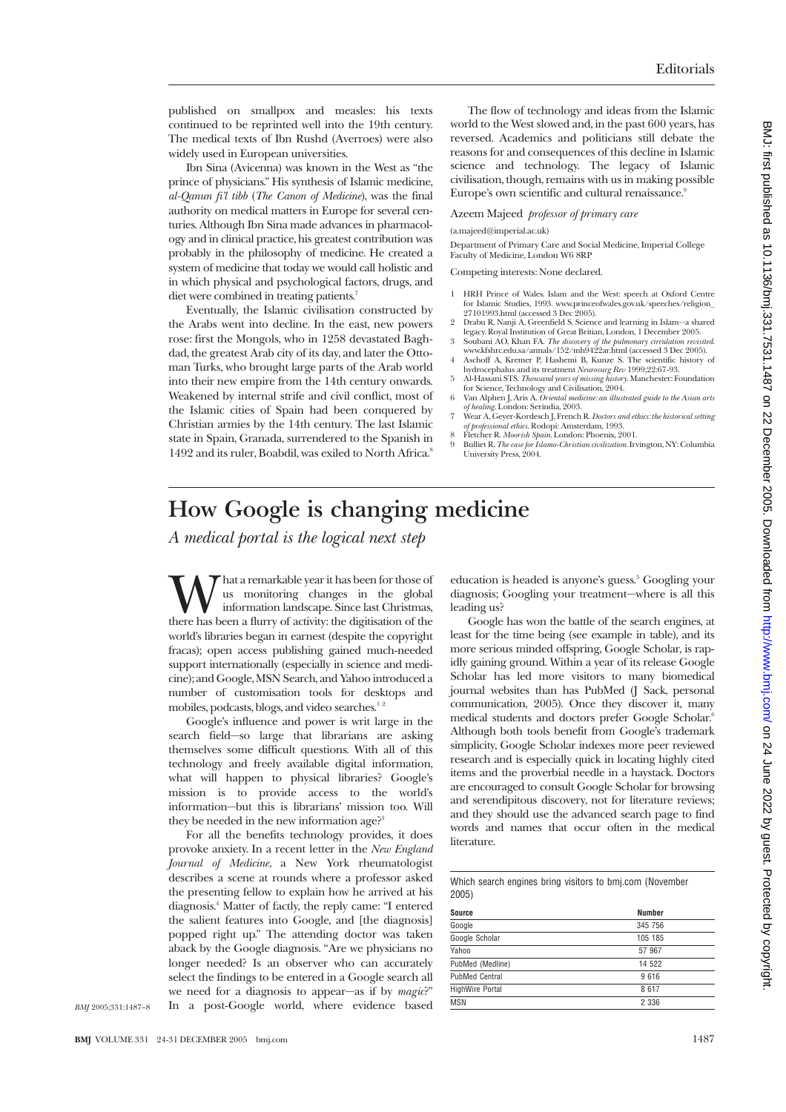published on smallpox and measles: his texts continued to be reprinted well into the 19th century. The medical texts of Ibn Rushd (Averroes) were also widely used in European universities.

Ibn Sina (Avicenna) was known in the West as "the prince of physicians." His synthesis of Islamic medicine, *al-Qanun fi'l tibb* (*The Canon of Medicine*), was the final authority on medical matters in Europe for several centuries. Although Ibn Sina made advances in pharmacology and in clinical practice, his greatest contribution was probably in the philosophy of medicine. He created a system of medicine that today we would call holistic and in which physical and psychological factors, drugs, and diet were combined in treating patients.<sup>7</sup>

Eventually, the Islamic civilisation constructed by the Arabs went into decline. In the east, new powers rose: first the Mongols, who in 1258 devastated Baghdad, the greatest Arab city of its day, and later the Ottoman Turks, who brought large parts of the Arab world into their new empire from the 14th century onwards. Weakened by internal strife and civil conflict, most of the Islamic cities of Spain had been conquered by Christian armies by the 14th century. The last Islamic state in Spain, Granada, surrendered to the Spanish in 1492 and its ruler, Boabdil, was exiled to North Africa.<sup>8</sup>

The flow of technology and ideas from the Islamic world to the West slowed and, in the past 600 years, has reversed. Academics and politicians still debate the reasons for and consequences of this decline in Islamic science and technology. The legacy of Islamic civilisation, though, remains with us in making possible Europe's own scientific and cultural renaissance.<sup>9</sup>

Azeem Majeed *professor of primary care*

(a.majeed@imperial.ac.uk)

Department of Primary Care and Social Medicine, Imperial College Faculty of Medicine, London W6 8RP

Competing interests: None declared.

- 1 HRH Prince of Wales. Islam and the West: speech at Oxford Centre for Islamic Studies, 1993. www.princeofwales.gov.uk/speeches/religion\_ 27101993.html (accessed 3 Dec 2005).
- 2 Drabu R, Nanji A, Greenfield S. Science and learning in Islam—a shared
- legacy. Royal Institution of Great Britian, London, 1 December 2005.<br>3 Soubani AO, Khan FA. *The discovery of the pulmonary circulation revisited*<br>www.kfshrc.edu.sa/annals/152/mb9422ar.html (accessed 3 Dec 2005).<br>4 Aschoff
- hydrocephalus and its treatment *Neurosurg Rev* 1999;22:67-93. 5 Al-Hassani STS. *Thousand years of missing history*. Manchester: Foundation
- for Science, Technology and Civilisation, 2004. 6 Van Alphen J, Aris A. *Oriental medicine: an illustrated guide to the Asian arts*
- *of healing*. London: Serindia, 2003.
- 
- 7 Wear A, Geyer-Kordesch J, French R. *Doctors and ethics: the historical setting*<br>*of professional ethics*. Rodopi: Amsterdam, 1993.<br>8 Fletcher R. *Moorish Spain*. London: Phoenix, 2001.<br>9 Bulliet R. *The case for Islamo-*

## **How Google is changing medicine**

*A medical portal is the logical next step*

What a remarkable year it has been for those of<br>information landscape. Since last Christmas,<br>there has been a flurry of activity: the digitisation of the us monitoring changes in the global information landscape. Since last Christmas, world's libraries began in earnest (despite the copyright fracas); open access publishing gained much-needed support internationally (especially in science and medicine); and Google, MSN Search, and Yahoo introduced a number of customisation tools for desktops and mobiles, podcasts, blogs, and video searches. $12$ 

Google's influence and power is writ large in the search field—so large that librarians are asking themselves some difficult questions. With all of this technology and freely available digital information, what will happen to physical libraries? Google's mission is to provide access to the world's information—but this is librarians' mission too. Will they be needed in the new information age?<sup>3</sup>

For all the benefits technology provides, it does provoke anxiety. In a recent letter in the *New England Journal of Medicine*, a New York rheumatologist describes a scene at rounds where a professor asked the presenting fellow to explain how he arrived at his diagnosis.4 Matter of factly, the reply came: "I entered the salient features into Google, and [the diagnosis] popped right up." The attending doctor was taken aback by the Google diagnosis. "Are we physicians no longer needed? Is an observer who can accurately select the findings to be entered in a Google search all we need for a diagnosis to appear—as if by *magic*?" In a post-Google world, where evidence based education is headed is anyone's guess.<sup>5</sup> Googling your diagnosis; Googling your treatment—where is all this leading us?

Google has won the battle of the search engines, at least for the time being (see example in table), and its more serious minded offspring, Google Scholar, is rapidly gaining ground. Within a year of its release Google Scholar has led more visitors to many biomedical journal websites than has PubMed (J Sack, personal communication, 2005). Once they discover it, many medical students and doctors prefer Google Scholar.<sup>6</sup> Although both tools benefit from Google's trademark simplicity, Google Scholar indexes more peer reviewed research and is especially quick in locating highly cited items and the proverbial needle in a haystack. Doctors are encouraged to consult Google Scholar for browsing and serendipitous discovery, not for literature reviews; and they should use the advanced search page to find words and names that occur often in the medical literature.

|       |  |  |  | Which search engines bring visitors to bmj.com (November |
|-------|--|--|--|----------------------------------------------------------|
| 2005) |  |  |  |                                                          |

| <b>Source</b>         | <b>Number</b> |
|-----------------------|---------------|
| Google                | 345 756       |
| Google Scholar        | 105 185       |
| Yahoo                 | 57 967        |
| PubMed (Medline)      | 14 522        |
| <b>PubMed Central</b> | 9616          |
| HighWire Portal       | 8617          |
| <b>MSN</b>            | 2 3 3 6       |